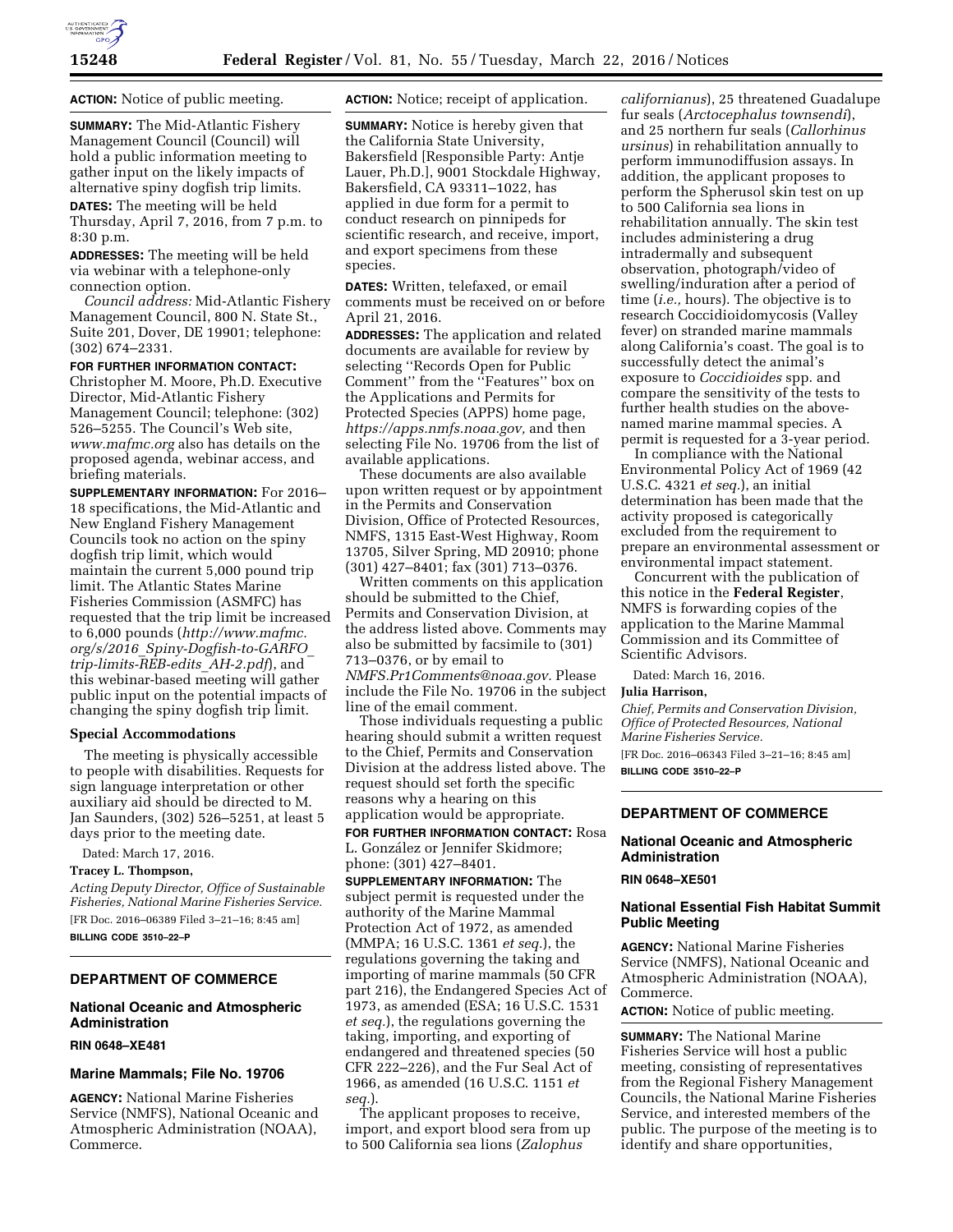

**ACTION:** Notice of public meeting.

**SUMMARY:** The Mid-Atlantic Fishery Management Council (Council) will hold a public information meeting to gather input on the likely impacts of alternative spiny dogfish trip limits.

**DATES:** The meeting will be held Thursday, April 7, 2016, from 7 p.m. to 8:30 p.m.

**ADDRESSES:** The meeting will be held via webinar with a telephone-only connection option.

*Council address:* Mid-Atlantic Fishery Management Council, 800 N. State St., Suite 201, Dover, DE 19901; telephone: (302) 674–2331.

## **FOR FURTHER INFORMATION CONTACT:**

Christopher M. Moore, Ph.D. Executive Director, Mid-Atlantic Fishery Management Council; telephone: (302) 526–5255. The Council's Web site, *[www.mafmc.org](http://www.mafmc.org)* also has details on the proposed agenda, webinar access, and briefing materials.

**SUPPLEMENTARY INFORMATION:** For 2016– 18 specifications, the Mid-Atlantic and New England Fishery Management Councils took no action on the spiny dogfish trip limit, which would maintain the current 5,000 pound trip limit. The Atlantic States Marine Fisheries Commission (ASMFC) has requested that the trip limit be increased to 6,000 pounds (*[http://www.mafmc.](http://www.mafmc.org/s/2016_Spiny-Dogfish-to-GARFO_trip-limits-REB-edits_AH-2.pdf) org/s/2016*\_*[Spiny-Dogfish-to-GARFO](http://www.mafmc.org/s/2016_Spiny-Dogfish-to-GARFO_trip-limits-REB-edits_AH-2.pdf)*\_ *[trip-limits-REB-edits](http://www.mafmc.org/s/2016_Spiny-Dogfish-to-GARFO_trip-limits-REB-edits_AH-2.pdf)*\_*AH-2.pdf*), and this webinar-based meeting will gather public input on the potential impacts of changing the spiny dogfish trip limit.

#### **Special Accommodations**

The meeting is physically accessible to people with disabilities. Requests for sign language interpretation or other auxiliary aid should be directed to M. Jan Saunders, (302) 526–5251, at least 5 days prior to the meeting date.

Dated: March 17, 2016.

### **Tracey L. Thompson,**

*Acting Deputy Director, Office of Sustainable Fisheries, National Marine Fisheries Service.*  [FR Doc. 2016–06389 Filed 3–21–16; 8:45 am] **BILLING CODE 3510–22–P** 

#### **DEPARTMENT OF COMMERCE**

# **National Oceanic and Atmospheric Administration**

#### **RIN 0648–XE481**

#### **Marine Mammals; File No. 19706**

**AGENCY:** National Marine Fisheries Service (NMFS), National Oceanic and Atmospheric Administration (NOAA), Commerce.

**ACTION:** Notice; receipt of application.

**SUMMARY:** Notice is hereby given that the California State University, Bakersfield [Responsible Party: Antje Lauer, Ph.D.], 9001 Stockdale Highway, Bakersfield, CA 93311–1022, has applied in due form for a permit to conduct research on pinnipeds for scientific research, and receive, import, and export specimens from these species.

**DATES:** Written, telefaxed, or email comments must be received on or before April 21, 2016.

**ADDRESSES:** The application and related documents are available for review by selecting ''Records Open for Public Comment'' from the ''Features'' box on the Applications and Permits for Protected Species (APPS) home page, *[https://apps.nmfs.noaa.gov,](https://apps.nmfs.noaa.gov)* and then selecting File No. 19706 from the list of available applications.

These documents are also available upon written request or by appointment in the Permits and Conservation Division, Office of Protected Resources, NMFS, 1315 East-West Highway, Room 13705, Silver Spring, MD 20910; phone (301) 427–8401; fax (301) 713–0376.

Written comments on this application should be submitted to the Chief, Permits and Conservation Division, at the address listed above. Comments may also be submitted by facsimile to (301) 713–0376, or by email to *[NMFS.Pr1Comments@noaa.gov.](mailto:NMFS.Pr1Comments@noaa.gov)* Please include the File No. 19706 in the subject line of the email comment.

Those individuals requesting a public hearing should submit a written request to the Chief, Permits and Conservation Division at the address listed above. The request should set forth the specific reasons why a hearing on this application would be appropriate.

**FOR FURTHER INFORMATION CONTACT:** Rosa L. González or Jennifer Skidmore; phone: (301) 427–8401.

**SUPPLEMENTARY INFORMATION:** The subject permit is requested under the authority of the Marine Mammal Protection Act of 1972, as amended (MMPA; 16 U.S.C. 1361 *et seq.*), the regulations governing the taking and importing of marine mammals (50 CFR part 216), the Endangered Species Act of 1973, as amended (ESA; 16 U.S.C. 1531 *et seq.*), the regulations governing the taking, importing, and exporting of endangered and threatened species (50 CFR 222–226), and the Fur Seal Act of 1966, as amended (16 U.S.C. 1151 *et seq.*).

The applicant proposes to receive, import, and export blood sera from up to 500 California sea lions (*Zalophus* 

*californianus*), 25 threatened Guadalupe fur seals (*Arctocephalus townsendi*), and 25 northern fur seals (*Callorhinus ursinus*) in rehabilitation annually to perform immunodiffusion assays. In addition, the applicant proposes to perform the Spherusol skin test on up to 500 California sea lions in rehabilitation annually. The skin test includes administering a drug intradermally and subsequent observation, photograph/video of swelling/induration after a period of time (*i.e.,* hours). The objective is to research Coccidioidomycosis (Valley fever) on stranded marine mammals along California's coast. The goal is to successfully detect the animal's exposure to *Coccidioides* spp. and compare the sensitivity of the tests to further health studies on the abovenamed marine mammal species. A permit is requested for a 3-year period.

In compliance with the National Environmental Policy Act of 1969 (42 U.S.C. 4321 *et seq.*), an initial determination has been made that the activity proposed is categorically excluded from the requirement to prepare an environmental assessment or environmental impact statement.

Concurrent with the publication of this notice in the **Federal Register**, NMFS is forwarding copies of the application to the Marine Mammal Commission and its Committee of Scientific Advisors.

Dated: March 16, 2016.

#### **Julia Harrison,**

*Chief, Permits and Conservation Division, Office of Protected Resources, National Marine Fisheries Service.* 

[FR Doc. 2016–06343 Filed 3–21–16; 8:45 am] **BILLING CODE 3510–22–P** 

### **DEPARTMENT OF COMMERCE**

#### **National Oceanic and Atmospheric Administration**

## **RIN 0648–XE501**

### **National Essential Fish Habitat Summit Public Meeting**

**AGENCY:** National Marine Fisheries Service (NMFS), National Oceanic and Atmospheric Administration (NOAA), Commerce.

**ACTION:** Notice of public meeting.

**SUMMARY:** The National Marine Fisheries Service will host a public meeting, consisting of representatives from the Regional Fishery Management Councils, the National Marine Fisheries Service, and interested members of the public. The purpose of the meeting is to identify and share opportunities,